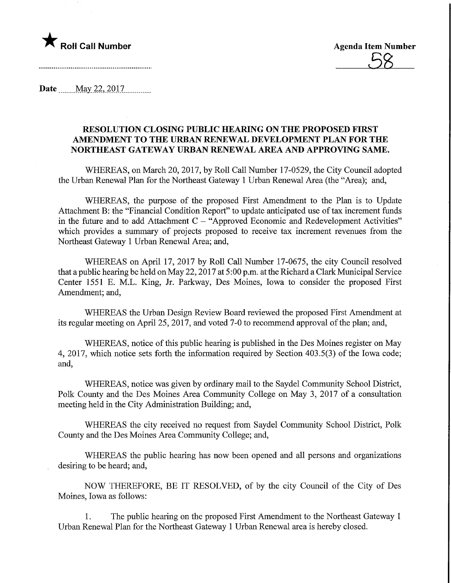

Date........May. 22,2017,

## RESOLUTION CLOSING PUBLIC HEARING ON THE PROPOSED FIRST AMENDMENT TO THE URBAN RENEWAL DEVELOPMENT PLAN FOR THE NORTHEAST GATEWAY URBAN RENEWAL AREA AND APPROVING SAME.

WHEREAS, on March 20, 2017, by Roll Call Number 17-0529, the City Council adopted the Urban Renewal Plan for the Northeast Gateway 1 Urban Renewal Area (the "Area); and,

WHEREAS, the purpose of the proposed First Amendment to the Plan is to Update Attachment B: the "Financial Condition Report" to update anticipated use of tax increment funds in the future and to add Attachment  $C - "Approved Economic and Redevelopment Activities"$ which provides a summary of projects proposed to receive tax increment revenues from the Northeast Gateway 1 Urban Renewal Area; and,

WHEREAS on April 17, 2017 by Roll Call Number 17-0675, the city Council resolved that a public hearing be held on May 22,2017 at 5:00 p.m. at the Richard a Clark Municipal Service Center 1551 E. M.L. King, Jr. Parkway, Des Moines, Iowa to consider the proposed First Amendment; and,

WHEREAS the Urban Design Review Board reviewed the proposed First Amendment at its regular meeting on April 25, 2017, and voted 7-0 to recommend approval of the plan; and,

WHEREAS, notice of this public hearing is published in the Des Moines register on May 4, 2017, which notice sets forth the information required by Section 403.5(3) of the Iowa code; and,

WHEREAS, notice was given by ordinary mail to the Saydel Community School District, Polk County and the Des Moines Area Community College on May 3, 2017 of a consultation meeting held in the City Administration Building; and,

WHEREAS the city received no request from Saydel Community School District, Polk County and the Des Moines Area Community College; and,

WHEREAS the public hearing has now been opened and all persons and organizations desiring to be heard; and,

NOW THEREFORE, BE IT RESOLVED, of by the city Council of the City of Des Moines, Iowa as follows:

1. The public hearing on the proposed First Amendment to the Northeast Gateway 1 Urban Renewal Plan for the Northeast Gateway 1 Urban Renewal area is hereby closed.